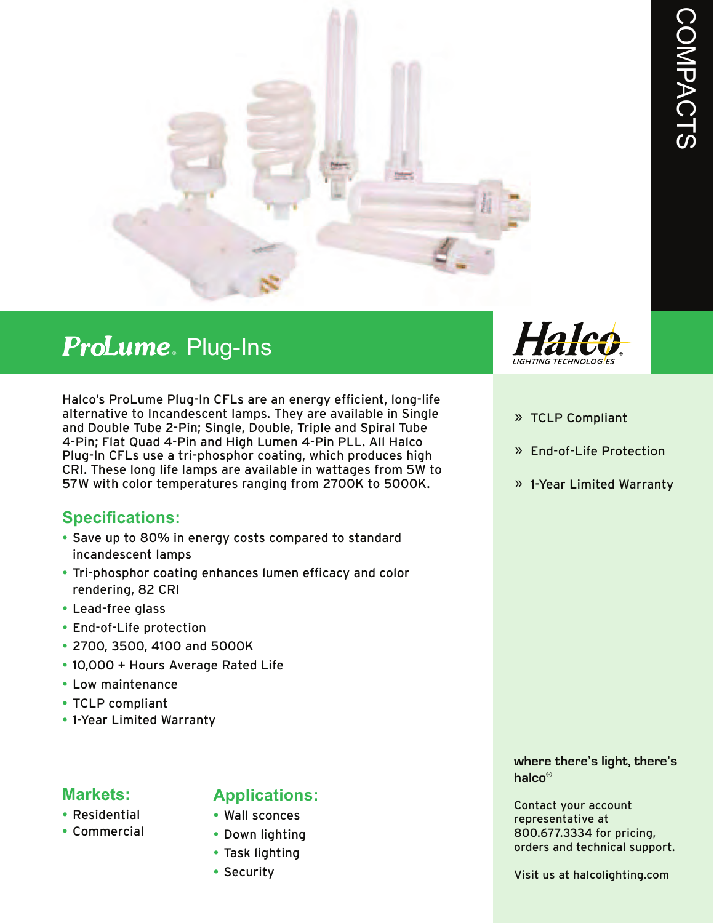

# Plug-Ins ®

Halco's ProLume Plug-In CFLs are an energy efficient, long-life alternative to Incandescent lamps. They are available in Single and Double Tube 2-Pin; Single, Double, Triple and Spiral Tube 4-Pin; Flat Quad 4-Pin and High Lumen 4-Pin PLL. All Halco Plug-In CFLs use a tri-phosphor coating, which produces high CRI. These long life lamps are available in wattages from 5W to 57W with color temperatures ranging from 2700K to 5000K.

#### **Specifications:**

- Save up to 80% in energy costs compared to standard incandescent lamps
- Tri-phosphor coating enhances lumen efficacy and color rendering, 82 CRI
- Lead-free glass
- End-of-Life protection
- 2700, 3500, 4100 and 5000K
- 10,000 + Hours Average Rated Life
- Low maintenance
- TCLP compliant
- 1-Year Limited Warranty

#### **Markets:**

- Residential
- Commercial

#### **Applications:**

- Wall sconces
- Down lighting
- Task lighting
- Security



- » TCLP Compliant
- » End-of-Life Protection
- » 1-Year Limited Warranty

**where there's light, there's halco®**

Contact your account representative at 800.677.3334 for pricing, orders and technical support.

Visit us at halcolighting.com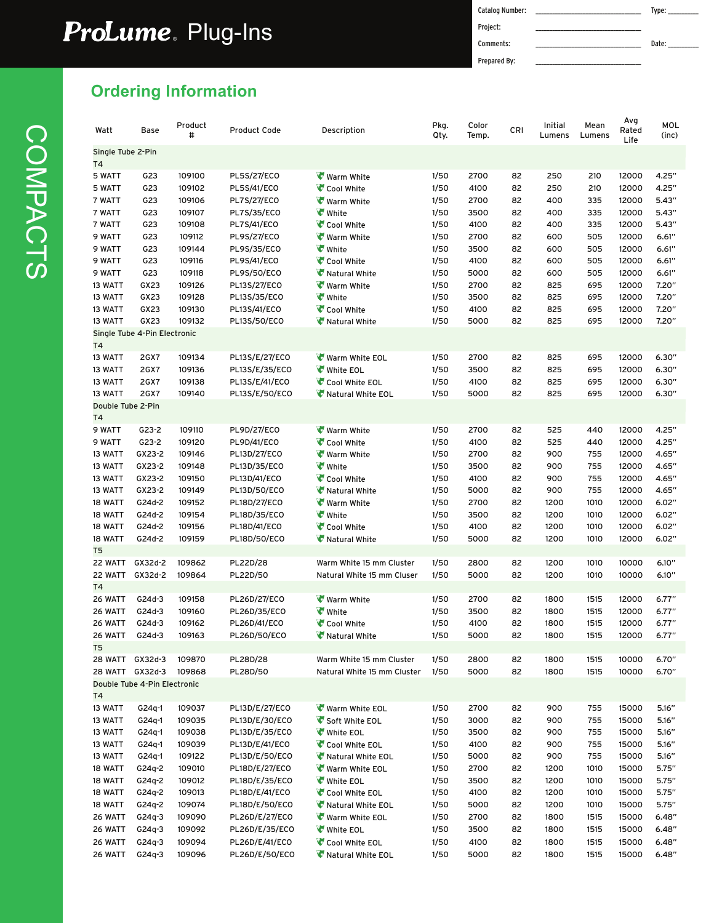## Plug-Ins ®

Catalog Number: \_\_\_\_\_\_\_\_\_\_\_\_\_\_\_\_\_\_\_\_\_\_\_\_\_\_\_\_\_\_\_\_\_\_\_\_\_\_ Type: \_\_\_\_\_\_\_\_\_\_\_ Project: Comments: \_\_\_\_\_\_\_\_\_\_\_\_\_\_\_\_\_\_\_\_\_\_\_\_\_\_\_\_\_\_\_\_\_\_\_\_\_\_ Date: \_\_\_\_\_\_\_\_\_\_\_ Prepared By:

### **2Drdering Information**

| Watt                      | Base                                 | Product<br>#     | <b>Product Code</b>              | Description                 | Pkg.<br>Qty. | Color<br>Temp. | CRI      | Initial<br>Lumens | Mean<br>Lumens | Avg<br>Rated<br>Life | MOL<br>(inc)   |
|---------------------------|--------------------------------------|------------------|----------------------------------|-----------------------------|--------------|----------------|----------|-------------------|----------------|----------------------|----------------|
| Single Tube 2-Pin<br>T4   |                                      |                  |                                  |                             |              |                |          |                   |                |                      |                |
| 5 WATT                    | G23                                  | 109100           | <b>PL5S/27/ECO</b>               | <b>Warm White</b>           | 1/50         | 2700           | 82       | 250               | 210            | 12000                | 4.25"          |
| 5 WATT                    | G23                                  | 109102           | <b>PL5S/41/ECO</b>               | Cool White                  | 1/50         | 4100           | 82       | 250               | 210            | 12000                | 4.25"          |
| 7 WATT                    | G23                                  | 109106           | <b>PL7S/27/ECO</b>               | Warm White                  | 1/50         | 2700           | 82       | 400               | 335            | 12000                | 5.43''         |
| 7 WATT                    | G23                                  | 109107           | PL7S/35/ECO                      | <b>White</b>                | 1/50         | 3500           | 82       | 400               | 335            | 12000                | 5.43''         |
| 7 WATT                    | G23                                  | 109108           | PL7S/41/ECO                      | Cool White                  | 1/50         | 4100           | 82       | 400               | 335            | 12000                | 5.43''         |
| 9 WATT                    | G23                                  | 109112           | <b>PL9S/27/ECO</b>               | Warm White                  | 1/50         | 2700           | 82       | 600               | 505            | 12000                | 6.61''         |
| 9 WATT                    | G23                                  | 109144           | PL9S/35/ECO                      | <b>White</b>                | 1/50         | 3500           | 82       | 600               | 505            | 12000                | 6.61''         |
| 9 WATT                    | G23                                  | 109116           | <b>PL9S/41/ECO</b>               | Cool White                  | 1/50         | 4100           | 82       | 600               | 505            | 12000                | 6.61"          |
| 9 WATT                    | G23                                  | 109118           | PL9S/50/ECO                      | Natural White               | 1/50         | 5000           | 82       | 600               | 505            | 12000                | 6.61''         |
| 13 WATT                   | GX23                                 | 109126           | PL13S/27/ECO                     | <b>Warm White</b>           | 1/50         | 2700           | 82       | 825               | 695            | 12000                | 7.20"          |
| 13 WATT                   | GX23                                 | 109128           | PL13S/35/ECO                     | <b>White</b>                | 1/50         | 3500           | 82       | 825               | 695            | 12000                | 7.20"          |
| 13 WATT                   | GX23                                 | 109130           | PL13S/41/ECO                     | Cool White                  | 1/50         | 4100           | 82       | 825               | 695            | 12000                | 7.20"          |
| 13 WATT                   | GX23<br>Single Tube 4-Pin Electronic | 109132           | PL13S/50/ECO                     | Natural White               | 1/50         | 5000           | 82       | 825               | 695            | 12000                | 7.20"          |
| T4<br>13 WATT<br>13 WATT  | <b>2GX7</b><br><b>2GX7</b>           | 109134<br>109136 | PL13S/E/27/ECO<br>PL13S/E/35/ECO | Warm White EOL<br>White EOL | 1/50<br>1/50 | 2700<br>3500   | 82<br>82 | 825<br>825        | 695<br>695     | 12000<br>12000       | 6.30"<br>6.30" |
| 13 WATT                   | <b>2GX7</b>                          | 109138           | PL13S/E/41/ECO                   | Cool White EOL              | 1/50         | 4100           | 82       | 825               | 695            | 12000                | 6.30"          |
| 13 WATT                   | <b>2GX7</b>                          | 109140           | PL13S/E/50/ECO                   | Natural White EOL           | 1/50         | 5000           | 82       | 825               | 695            | 12000                | 6.30"          |
| Double Tube 2-Pin<br>T4   |                                      |                  |                                  |                             |              |                |          |                   |                |                      |                |
| 9 WATT                    | $G23-2$                              | 109110           | <b>PL9D/27/ECO</b>               | Warm White                  | 1/50         | 2700           | 82       | 525               | 440            | 12000                | 4.25"          |
| 9 WATT                    | $G23-2$                              | 109120           | PL9D/41/ECO                      | Cool White                  | 1/50         | 4100           | 82       | 525               | 440            | 12000                | 4.25"          |
| 13 WATT                   | GX23-2                               | 109146           | PL13D/27/ECO                     | <b>Warm White</b>           | 1/50         | 2700           | 82       | 900               | 755            | 12000                | 4.65"          |
| 13 WATT                   | GX23-2                               | 109148           | PL13D/35/ECO                     | <b>White</b>                | 1/50         | 3500           | 82       | 900               | 755            | 12000                | 4.65"          |
| 13 WATT                   | GX23-2                               | 109150           | PL13D/41/ECO                     | Cool White                  | 1/50         | 4100           | 82       | 900               | 755            | 12000                | 4.65"          |
| 13 WATT                   | GX23-2                               | 109149           | PL13D/50/ECO                     | Natural White               | 1/50         | 5000           | 82       | 900               | 755            | 12000                | 4.65"          |
| 18 WATT                   | G24d-2                               | 109152           | PL18D/27/ECO                     | <b>Warm White</b>           | 1/50         | 2700           | 82       | 1200              | 1010           | 12000                | 6.02"          |
| 18 WATT                   | G24d-2                               | 109154           | PL18D/35/ECO                     | <b>White</b>                | 1/50         | 3500           | 82       | 1200              | 1010           | 12000                | 6.02"          |
| 18 WATT                   | G24d-2                               | 109156           | PL18D/41/ECO                     | Cool White                  | 1/50         | 4100           | 82       | 1200              | 1010           | 12000                | 6.02"          |
| 18 WATT                   | G24d-2                               | 109159           | PL18D/50/ECO                     | Natural White               | 1/50         | 5000           | 82       | 1200              | 1010           | 12000                | 6.02"          |
| T <sub>5</sub><br>22 WATT | GX32d-2                              | 109862           | PL22D/28                         | Warm White 15 mm Cluster    | 1/50         | 2800           | 82       | 1200              | 1010           | 10000                | 6.10"          |
| 22 WATT<br>T4             | GX32d-2                              | 109864           | PL22D/50                         | Natural White 15 mm Cluser  | 1/50         | 5000           | 82       | 1200              | 1010           | 10000                | 6.10"          |
| 26 WATT                   | G24d-3                               | 109158           | PL26D/27/ECO                     | <b>Warm White</b>           | 1/50         | 2700           | 82       | 1800              | 1515           | 12000                | 6.77"          |
| 26 WATT                   | G24d-3                               | 109160           | PL26D/35/ECO                     | <b>White</b>                | 1/50         | 3500           | 82       | 1800              | 1515           | 12000                | 6.77"          |
| 26 WATT                   | G24d-3                               | 109162           | PL26D/41/ECO                     | Cool White                  | 1/50         | 4100           | 82       | 1800              | 1515           | 12000                | 6.77"          |
| 26 WATT<br>T <sub>5</sub> | $G24d-3$                             | 109163           | PL26D/50/ECO                     | Natural White               | 1/50         | 5000           | 82       | 1800              | 1515           | 12000                | 6.77"          |
| 28 WATT                   | GX32d-3                              | 109870           | PL28D/28                         | Warm White 15 mm Cluster    | 1/50         | 2800           | 82       | 1800              | 1515           | 10000                | 6.70"          |
| 28 WATT GX32d-3           | Double Tube 4-Pin Electronic         | 109868           | PL28D/50                         | Natural White 15 mm Cluster | 1/50         | 5000           | 82       | 1800              | 1515           | 10000                | 6.70"          |
| Τ4<br>13 WATT             | G24q-1                               | 109037           | PL13D/E/27/ECO                   | Warm White EOL              | 1/50         | 2700           | 82       | 900               | 755            | 15000                | 5.16"          |
| 13 WATT                   | $G24q-1$                             | 109035           | PL13D/E/30/ECO                   | Soft White EOL              | 1/50         | 3000           | 82       | 900               | 755            | 15000                | 5.16"          |
| 13 WATT                   | $G24q-1$                             | 109038           | PL13D/E/35/ECO                   | White EOL                   | 1/50         | 3500           | 82       | 900               | 755            | 15000                | 5.16"          |
| 13 WATT                   | $G24q-1$                             | 109039           | PL13D/E/41/ECO                   | Cool White EOL              | 1/50         | 4100           | 82       | 900               | 755            | 15000                | 5.16"          |
| 13 WATT                   | $G24q-1$                             | 109122           | PL13D/E/50/ECO                   | Natural White EOL           | 1/50         | 5000           | 82       | 900               | 755            | 15000                | 5.16"          |
| 18 WATT                   | G24q-2                               | 109010           | PL18D/E/27/ECO                   | Warm White EOL              | 1/50         | 2700           | 82       | 1200              | 1010           | 15000                | 5.75"          |
| 18 WATT                   | $G24q-2$                             | 109012           | PL18D/E/35/ECO                   | White EOL                   | 1/50         | 3500           | 82       | 1200              | 1010           | 15000                | 5.75''         |
| 18 WATT                   | G24q-2                               | 109013           | PL18D/E/41/ECO                   | Cool White EOL              | 1/50         | 4100           | 82       | 1200              | 1010           | 15000                | 5.75''         |
| 18 WATT                   | G24q-2                               | 109074           | PL18D/E/50/ECO                   | Natural White EOL           | 1/50         | 5000           | 82       | 1200              | 1010           | 15000                | 5.75''         |
| 26 WATT                   | $G24q-3$                             | 109090           | PL26D/E/27/ECO                   | Warm White EOL              | 1/50         | 2700           | 82       | 1800              | 1515           | 15000                | 6.48"          |
| 26 WATT                   | $G24q-3$                             | 109092           | PL26D/E/35/ECO                   | White EOL                   | 1/50         | 3500           | 82       | 1800              | 1515           | 15000                | 6.48"          |
| 26 WATT                   | $G24q-3$                             | 109094           | PL26D/E/41/ECO                   | Cool White EOL              | 1/50         | 4100           | 82       | 1800              | 1515           | 15000                | 6.48"          |
| 26 WATT                   | $G24q-3$                             | 109096           | PL26D/E/50/ECO                   | Natural White EOL           | 1/50         | 5000           | 82       | 1800              | 1515           | 15000                | 6.48"          |